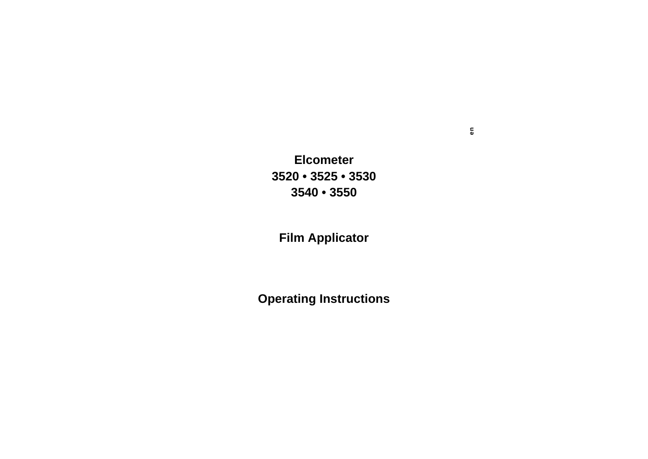**Elcometer3520 • 3525 • 35303540 • 3550**

**Film Applicator**

**Operating Instructions**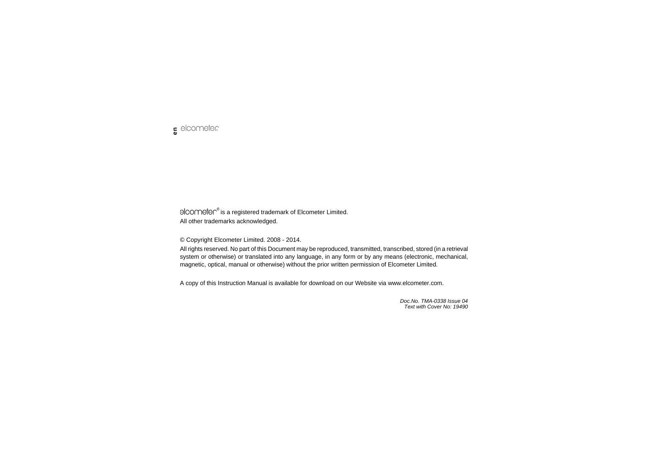elcometer<sup>®</sup> is a registered trademark of Elcometer Limited. All other trademarks acknowledged.

© Copyright Elcometer Limited. 2008 - 2014.

All rights reserved. No part of this Document may be reproduced, transmitted, transcribed, stored (in a retrieval system or otherwise) or translated into any language, in any form or by any means (electronic, mechanical, magnetic, optical, manual or otherwise) without the prior written permission of Elcometer Limited.

A copy of this Instruction Manual is available for download on our Website via www.elcometer.com.

*Doc.No. TMA-0338 Issue 04Text with Cover No: 19490*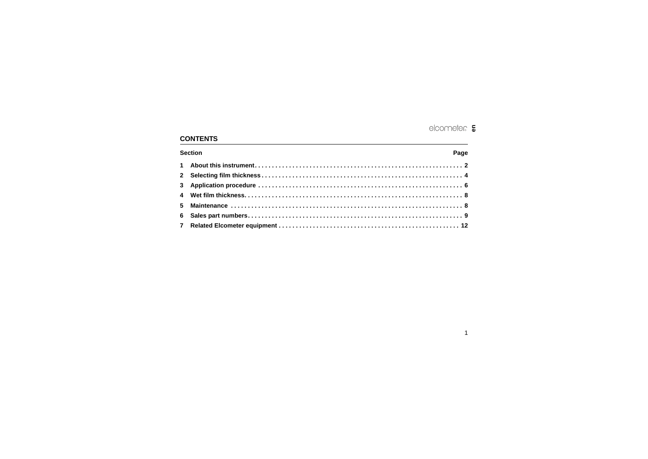# elcometer  $\epsilon$

## **CONTENTS**

| <b>Section</b> | Page |
|----------------|------|
|                |      |
|                |      |
|                |      |
|                |      |
|                |      |
|                |      |
|                |      |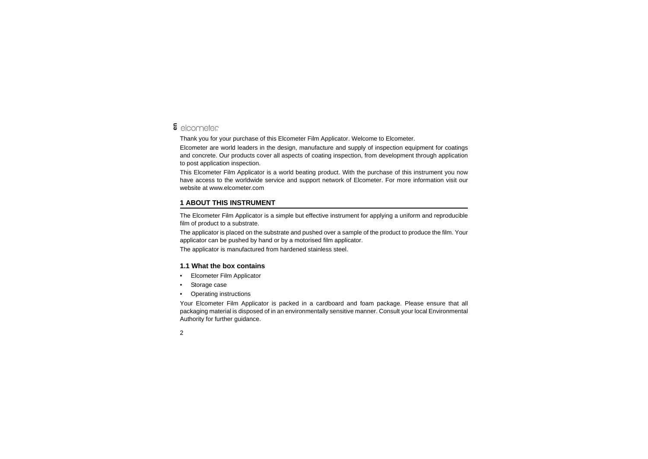# **&** elcometer

Thank you for your purchase of this Elcometer Film Applicator. Welcome to Elcometer.

Elcometer are world leaders in the design, manufacture and supply of inspection equipment for coatings and concrete. Our products cover all aspects of coating inspection, from development through application to post application inspection.

This Elcometer Film Applicator is a world beating product. With the purchase of this instrument you now have access to the worldwide service and support network of Elcometer. For more information visit our website at [www.elcometer.com](http://www.elcometer.com)

## <span id="page-3-0"></span>**1 ABOUT THIS INSTRUMENT**

The Elcometer Film Applicator is a simple but effective instrument for applying a uniform and reproducible film of product to a substrate.

The applicator is placed on the substrate and pushed over a sample of the product to produce the film. Your applicator can be pushed by hand or by a motorised film applicator.

The applicator is manufactured from hardened stainless steel.

### **1.1 What the box contains**

- •Elcometer Film Applicator
- •Storage case
- •Operating instructions

Your Elcometer Film Applicator is packed in a cardboard and foam package. Please ensure that all packaging material is disposed of in an environmentally sensitive manner. Consult your local Environmental Authority for further guidance.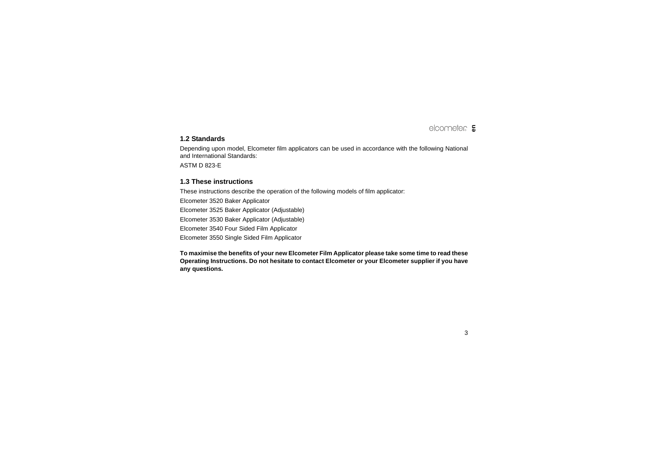### **1.2 Standards**

Depending upon model, Elcometer film applicators can be used in accordance with the following National and International Standards:

ASTM D 823-E

#### **1.3 These instructions**

These instructions describe the operation of the following models of film applicator:

Elcometer 3520 Baker Applicator Elcometer 3525 Baker Applicator (Adjustable) Elcometer 3530 Baker Applicator (Adjustable) Elcometer 3540 Four Sided Film Applicator Elcometer 3550 Single Sided Film Applicator

**To maximise the benefits of your new Elcometer Film Applicator please take some time to read these Operating Instructions. Do not hesitate to contact Elcometer or your Elcometer supplier if you have any questions.**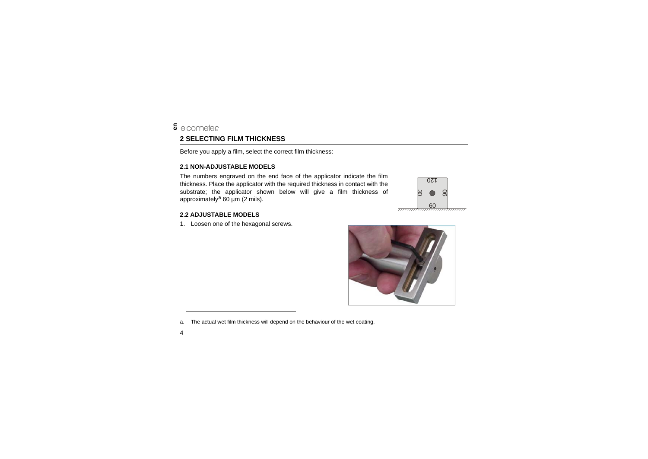## <span id="page-5-0"></span>**&** elcometer **2 SELECTING FILM THICKNESS**

Before you apply a film, select the correct film thickness:

#### **2.1 NON-ADJUSTABLE MODELS**

The numbers engraved on the end face of the applicator indicate the film thickness. Place the applicator with the required thickness in contact with the substrate; the applicator shown below will give a film thickness of approximately<sup>a</sup> 60  $\mu$ m (2 mils).

#### **2.2 ADJUSTABLE MODELS**

1. Loosen one of the hexagonal screws.

a. The actual wet film thickness will depend on the behaviour of the wet coating.



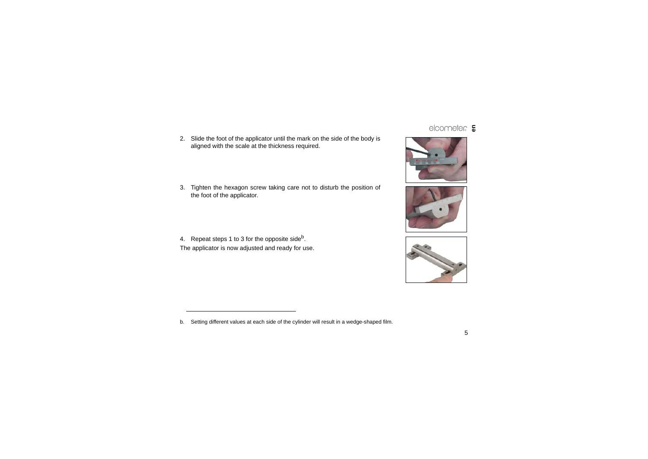2. Slide the foot of the applicator until the mark on the side of the body is aligned with the scale at the thickness required.

3. Tighten the hexagon screw taking care not to disturb the position of the foot of the applicator.

4. Repeat steps 1 to 3 for the opposite sideb. The applicator is now adjusted and ready for use.





<sup>5</sup>

b. Setting different values at each side of the cylinder will result in a wedge-shaped film.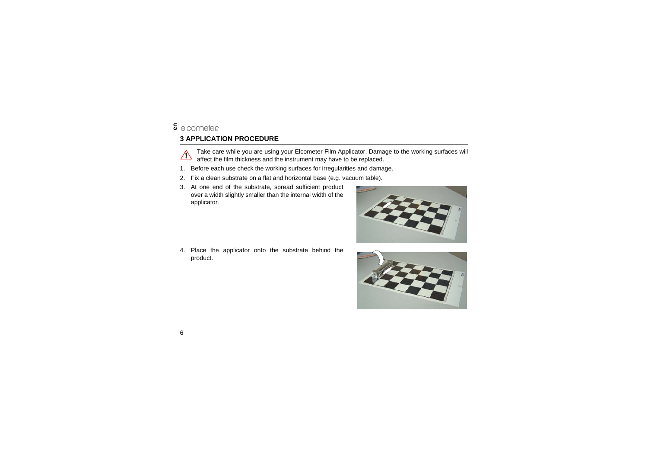## <span id="page-7-0"></span>**3 APPLICATION PROCEDURE**



Take care while you are using your Elcometer Film Applicator. Damage to the working surfaces will affect the film thickness and the instrument may have to be replaced.

- 1. Before each use check the working surfaces for irregularities and damage.
- 2. Fix a clean substrate on a flat and horizontal base (e.g. vacuum table).
- 3. At one end of the substrate, spread sufficient product over a width slightly smaller than the internal width of the applicator.

4. Place the applicator onto the substrate behind the product.



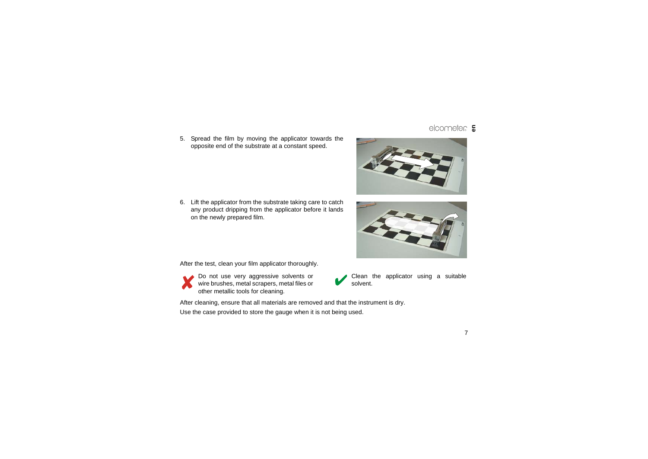R**en**

5. Spread the film by moving the applicator towards the opposite end of the substrate at a constant speed.

6. Lift the applicator from the substrate taking care to catch any product dripping from the applicator before it lands on the newly prepared film.

After the test, clean your film applicator thoroughly.

Do not use very aggressive solvents or wire brushes, metal scrapers, metal files or other metallic tools for cleaning.

After cleaning, ensure that all materials are removed and that the instrument is dry.

Use the case provided to store the gauge when it is not being used.





solvent.

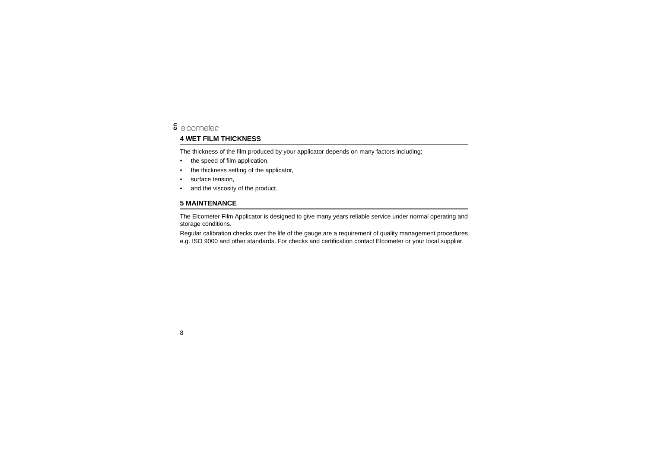#### elcometer **en**

## <span id="page-9-0"></span>**4 WET FILM THICKNESS**

The thickness of the film produced by your applicator depends on many factors including;

- •the speed of film application,
- •the thickness setting of the applicator,
- •surface tension,
- •and the viscosity of the product.

## <span id="page-9-1"></span>**5 MAINTENANCE**

The Elcometer Film Applicator is designed to give many years reliable service under normal operating and storage conditions.

Regular calibration checks over the life of the gauge are a requirement of quality management procedures e.g. ISO 9000 and other standards. For checks and certification contact Elcometer or your local supplier.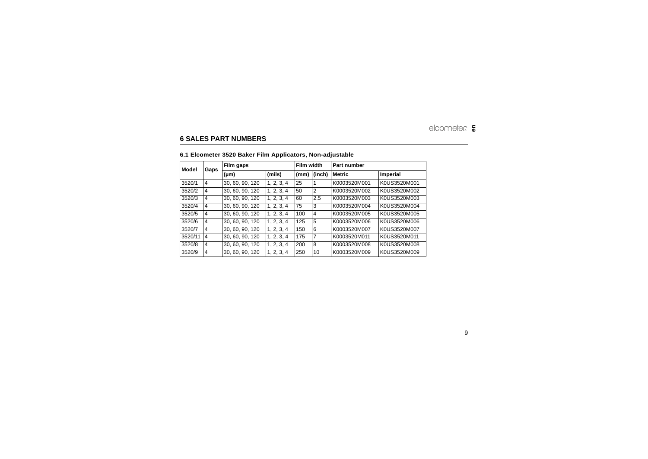## <span id="page-10-0"></span>**6 SALES PART NUMBERS**

|  |  |  |  |  | 6.1 Elcometer 3520 Baker Film Applicators, Non-adjustable |
|--|--|--|--|--|-----------------------------------------------------------|
|--|--|--|--|--|-----------------------------------------------------------|

| Model   | Gaps           | Film gaps       |            | Film width |                | Part number   |              |
|---------|----------------|-----------------|------------|------------|----------------|---------------|--------------|
|         |                | (µm)            | (mils)     | (mm)       | (inch)         | <b>Metric</b> | Imperial     |
| 3520/1  | 4              | 30, 60, 90, 120 | 1.2.3.4    | 25         |                | K0003520M001  | K0US3520M001 |
| 3520/2  | $\overline{4}$ | 30, 60, 90, 120 | 1.2.3.4    | 50         | $\overline{2}$ | K0003520M002  | K0US3520M002 |
| 3520/3  | 4              | 30, 60, 90, 120 | 1.2.3.4    | 60         | 2.5            | K0003520M003  | K0US3520M003 |
| 3520/4  | 4              | 30, 60, 90, 120 | 1.2.3.4    | 75         | 3              | K0003520M004  | K0US3520M004 |
| 3520/5  | 4              | 30, 60, 90, 120 | 1.2.3.4    | 100        | 4              | K0003520M005  | K0US3520M005 |
| 3520/6  | 4              | 30, 60, 90, 120 | 1, 2, 3, 4 | 125        | 5              | K0003520M006  | K0US3520M006 |
| 3520/7  | $\overline{4}$ | 30, 60, 90, 120 | 1.2.3.4    | 150        | 6              | K0003520M007  | K0US3520M007 |
| 3520/11 | $\overline{4}$ | 30, 60, 90, 120 | 1.2.3.4    | 175        | 7              | K0003520M011  | K0US3520M011 |
| 3520/8  | 4              | 30, 60, 90, 120 | 1.2.3.4    | 200        | 8              | K0003520M008  | K0US3520M008 |
| 3520/9  | 4              | 30, 60, 90, 120 | 1, 2, 3, 4 | 250        | 10             | K0003520M009  | K0US3520M009 |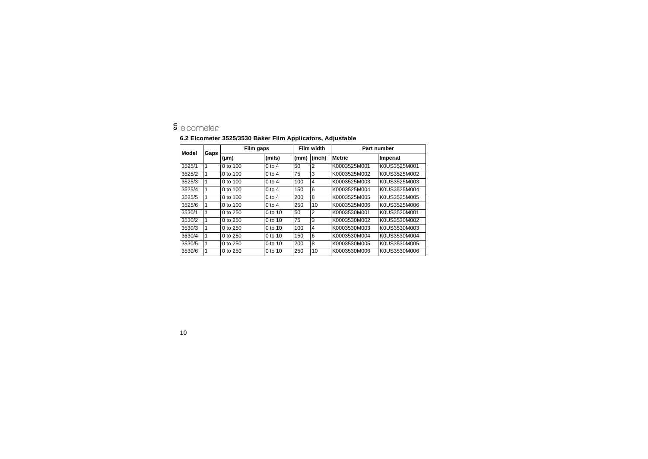# **5** elcometer

#### **6.2 Elcometer 3525/3530 Baker Film Applicators, Adjustable**

| Model  | Gaps | Film gaps    |            | Film width |                | <b>Part number</b> |              |
|--------|------|--------------|------------|------------|----------------|--------------------|--------------|
|        |      | $(\mu m)$    | (mils)     | (mm)       | (inch)         | <b>Metric</b>      | Imperial     |
| 3525/1 | 1    | $0$ to $100$ | $0$ to 4   | 50         | 2              | K0003525M001       | K0US3525M001 |
| 3525/2 | 1    | 0 to 100     | $0$ to 4   | 75         | 3              | K0003525M002       | K0US3525M002 |
| 3525/3 | 1    | 0 to $100$   | $0$ to 4   | 100        | $\overline{4}$ | K0003525M003       | K0US3525M003 |
| 3525/4 | 1    | $0$ to $100$ | $0$ to $4$ | 150        | 6              | K0003525M004       | K0US3525M004 |
| 3525/5 | 1    | 0 to $100$   | $0$ to 4   | 200        | 8              | K0003525M005       | K0US3525M005 |
| 3525/6 | 1    | 0 to $100$   | $0$ to 4   | 250        | 10             | K0003525M006       | K0US3525M006 |
| 3530/1 | 1    | 0 to $250$   | $0$ to 10  | 50         | $\overline{2}$ | K0003530M001       | K0US3520M001 |
| 3530/2 | 1    | 0 to $250$   | $0$ to 10  | 75         | 3              | K0003530M002       | K0US3530M002 |
| 3530/3 | 1    | 0 to $250$   | $0$ to 10  | 100        | 4              | K0003530M003       | K0US3530M003 |
| 3530/4 | 1    | 0 to $250$   | $0$ to 10  | 150        | 6              | K0003530M004       | K0US3530M004 |
| 3530/5 | 1    | 0 to $250$   | $0$ to 10  | 200        | 8              | K0003530M005       | K0US3530M005 |
| 3530/6 |      | 0 to $250$   | 0 to 10    | 250        | 10             | K0003530M006       | K0US3530M006 |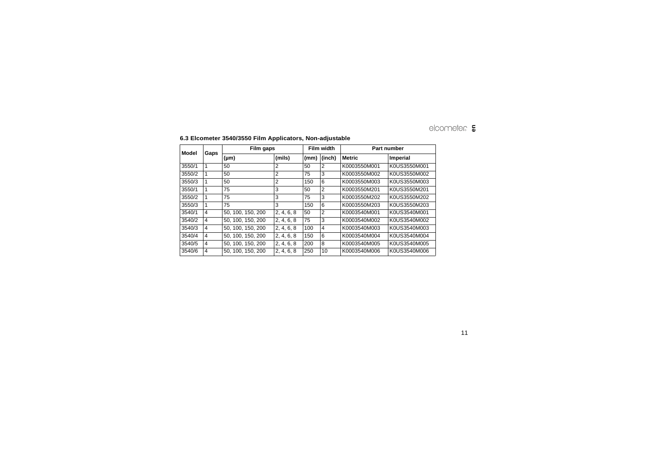| Model  | Gaps           | Film gaps         |            | Film width |        | Part number  |              |
|--------|----------------|-------------------|------------|------------|--------|--------------|--------------|
|        |                | $(\mu m)$         | (mils)     | (mm)       | (inch) | Metric       | Imperial     |
| 3550/1 | 1              | 50                | 2          | 50         | 2      | K0003550M001 | K0US3550M001 |
| 3550/2 | 1              | 50                | 2          | 75         | 3      | K0003550M002 | K0US3550M002 |
| 3550/3 | 1              | 50                | 2          | 150        | 6      | K0003550M003 | K0US3550M003 |
| 3550/1 | 1              | 75                | 3          | 50         | 2      | K0003550M201 | K0US3550M201 |
| 3550/2 | 1              | 75                | 3          | 75         | 3      | K0003550M202 | K0US3550M202 |
| 3550/3 | 1              | 75                | 3          | 150        | 6      | K0003550M203 | K0US3550M203 |
| 3540/1 | 4              | 50, 100, 150, 200 | 2, 4, 6, 8 | 50         | 2      | K0003540M001 | K0US3540M001 |
| 3540/2 | 4              | 50, 100, 150, 200 | 2, 4, 6, 8 | 75         | 3      | K0003540M002 | K0US3540M002 |
| 3540/3 | $\overline{4}$ | 50, 100, 150, 200 | 2, 4, 6, 8 | 100        | 4      | K0003540M003 | K0US3540M003 |
| 3540/4 | 4              | 50, 100, 150, 200 | 2, 4, 6, 8 | 150        | 6      | K0003540M004 | K0US3540M004 |
| 3540/5 | 4              | 50. 100. 150. 200 | 2, 4, 6, 8 | 200        | 8      | K0003540M005 | K0US3540M005 |
| 3540/6 | 4              | 50, 100, 150, 200 | 2, 4, 6, 8 | 250        | 10     | K0003540M006 | K0US3540M006 |

#### **6.3 Elcometer 3540/3550 Film Applicators, Non-adjustable**